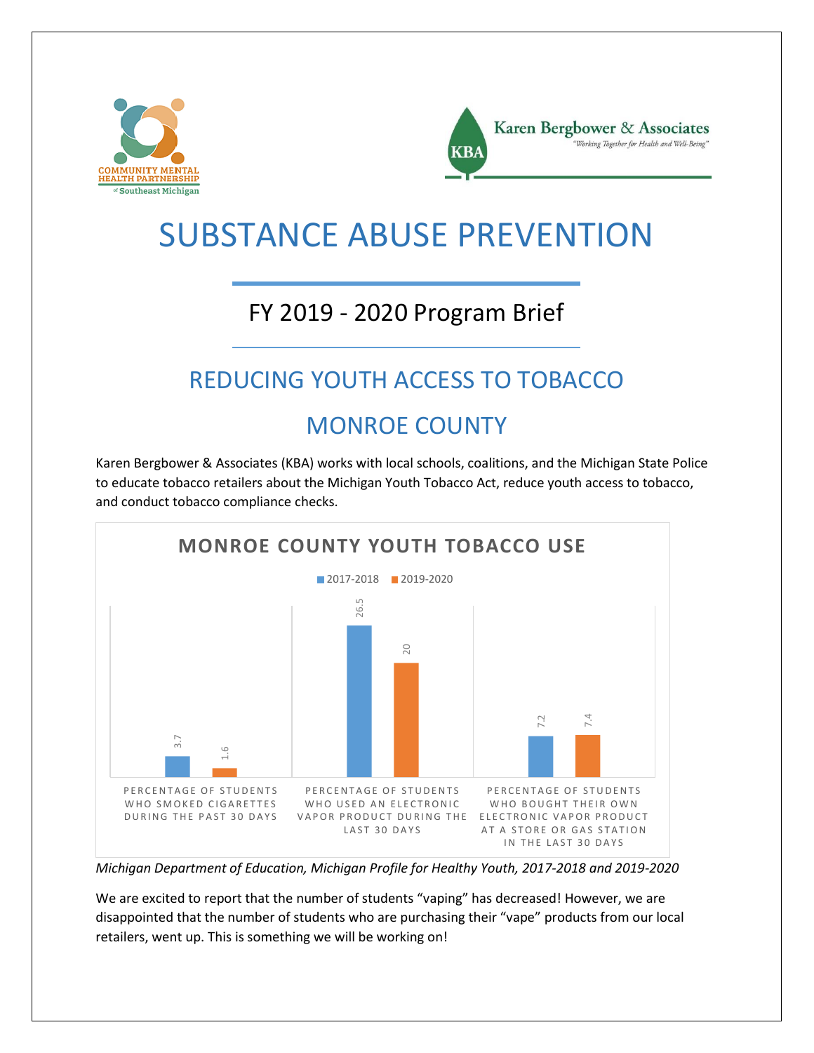



# SUBSTANCE ABUSE PREVENTION

### FY 2019 - 2020 Program Brief

## REDUCING YOUTH ACCESS TO TOBACCO

#### MONROE COUNTY

Karen Bergbower & Associates (KBA) works with local schools, coalitions, and the Michigan State Police to educate tobacco retailers about the Michigan Youth Tobacco Act, reduce youth access to tobacco, and conduct tobacco compliance checks.



*Michigan Department of Education, Michigan Profile for Healthy Youth, 2017-2018 and 2019-2020*

We are excited to report that the number of students "vaping" has decreased! However, we are disappointed that the number of students who are purchasing their "vape" products from our local